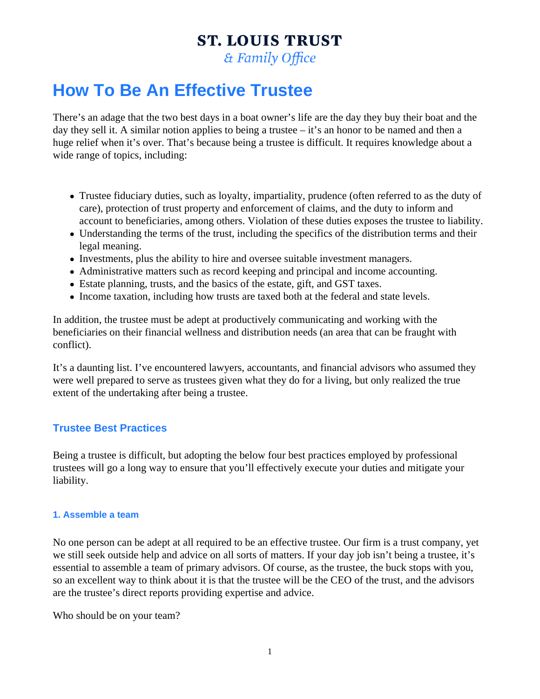## **ST. LOUIS TRUST**

& Family Office

## **How To Be An Effective Trustee**

There's an adage that the two best days in a boat owner's life are the day they buy their boat and the day they sell it. A similar notion applies to being a trustee  $-$  it's an honor to be named and then a huge relief when it's over. That's because being a trustee is difficult. It requires knowledge about a wide range of topics, including:

- Trustee fiduciary duties, such as loyalty, impartiality, prudence (often referred to as the duty of care), protection of trust property and enforcement of claims, and the duty to inform and account to beneficiaries, among others. Violation of these duties exposes the trustee to liability.
- Understanding the terms of the trust, including the specifics of the distribution terms and their legal meaning.
- Investments, plus the ability to hire and oversee suitable investment managers.
- Administrative matters such as record keeping and principal and income accounting.
- Estate planning, trusts, and the basics of the estate, gift, and GST taxes.
- Income taxation, including how trusts are taxed both at the federal and state levels.

In addition, the trustee must be adept at productively communicating and working with the beneficiaries on their financial wellness and distribution needs (an area that can be fraught with conflict).

It's a daunting list. I've encountered lawyers, accountants, and financial advisors who assumed they were well prepared to serve as trustees given what they do for a living, but only realized the true extent of the undertaking after being a trustee.

#### **Trustee Best Practices**

Being a trustee is difficult, but adopting the below four best practices employed by professional trustees will go a long way to ensure that you'll effectively execute your duties and mitigate your liability.

#### **1. Assemble a team**

No one person can be adept at all required to be an effective trustee. Our firm is a trust company, yet we still seek outside help and advice on all sorts of matters. If your day job isn't being a trustee, it's essential to assemble a team of primary advisors. Of course, as the trustee, the buck stops with you, so an excellent way to think about it is that the trustee will be the CEO of the trust, and the advisors are the trustee's direct reports providing expertise and advice.

Who should be on your team?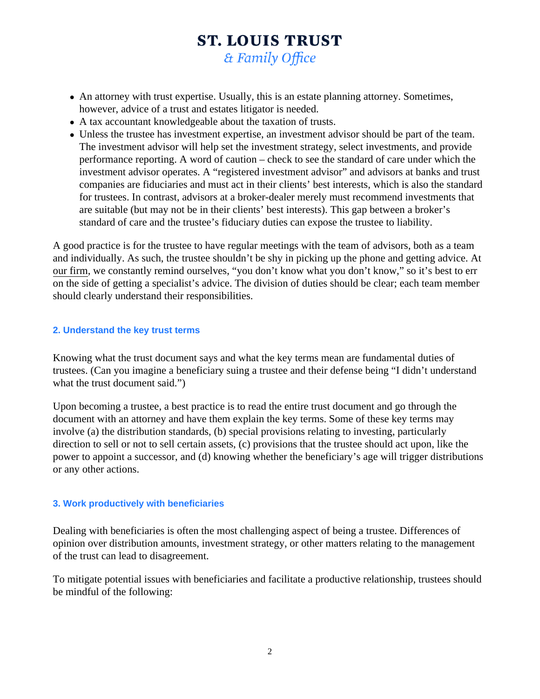- An attorney with trust expertise. Usually, this is an estate planning attorney. Sometimes, however, advice of a trust and estates litigator is needed.
- A tax accountant knowledgeable about the taxation of trusts.
- Unless the trustee has investment expertise, an investment advisor should be part of the team. The investment advisor will help set the investment strategy, select investments, and provide performance reporting. A word of caution – check to see the standard of care under which the investment advisor operates. A "registered investment advisor" and advisors at banks and trust companies are fiduciaries and must act in their clients' best interests, which is also the standard for trustees. In contrast, advisors at a broker-dealer merely must recommend investments that are suitable (but may not be in their clients' best interests). This gap between a broker's standard of care and the trustee's fiduciary duties can expose the trustee to liability.

A good practice is for the trustee to have regular meetings with the team of advisors, both as a team and individually. As such, the trustee shouldn't be shy in picking up the phone and getting advice. At [our firm,](https://www.stlouistrust.com/) we constantly remind ourselves, "you don't know what you don't know," so it's best to err on the side of getting a specialist's advice. The division of duties should be clear; each team member should clearly understand their responsibilities.

#### 2. Understand the key trust terms

Knowing what the trust document says and what the key terms mean are fundamental duties of trustees. (Can you imagine a beneficiary suing a trustee and their defense being "I didn't understand what the trust document said.")

Upon becoming a trustee, a best practice is to read the entire trust document and go through the document with an attorney and have them explain the key terms. Some of these key terms may involve (a) the distribution standards, (b) special provisions relating to investing, particularly direction to sell or not to sell certain assets, (c) provisions that the trustee should act upon, like the power to appoint a successor, and (d) knowing whether the beneficiary's age will trigger distributions or any other actions.

#### 3. Work productively with beneficiaries

Dealing with beneficiaries is often the most challenging aspect of being a trustee. Differences of opinion over distribution amounts, investment strategy, or other matters relating to the management of the trust can lead to disagreement.

To mitigate potential issues with beneficiaries and facilitate a productive relationship, trustees should be mindful of the following: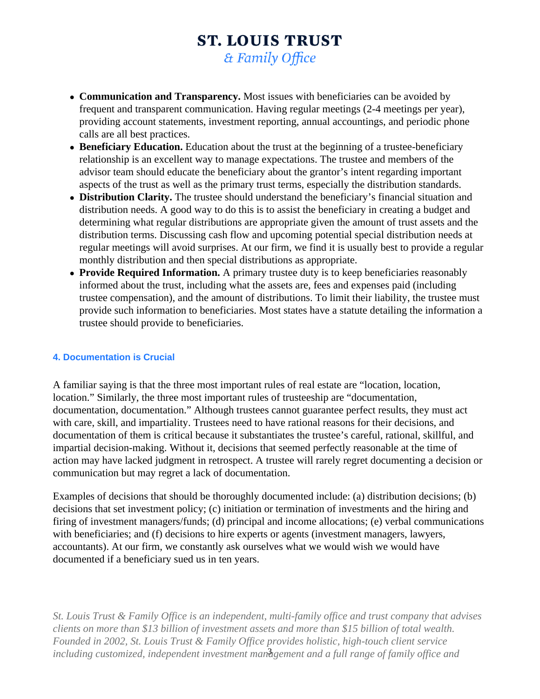# **ST. LOUIS TRUST**

& Family Office

- **Communication and Transparency.** Most issues with beneficiaries can be avoided by frequent and transparent communication. Having regular meetings (2-4 meetings per year), providing account statements, investment reporting, annual accountings, and periodic phone calls are all best practices.
- **Beneficiary Education.** Education about the trust at the beginning of a trustee-beneficiary relationship is an excellent way to manage expectations. The trustee and members of the advisor team should educate the beneficiary about the grantor's intent regarding important aspects of the trust as well as the primary trust terms, especially the distribution standards.
- **Distribution Clarity.** The trustee should understand the beneficiary's financial situation and distribution needs. A good way to do this is to assist the beneficiary in creating a budget and determining what regular distributions are appropriate given the amount of trust assets and the distribution terms. Discussing cash flow and upcoming potential special distribution needs at regular meetings will avoid surprises. At our firm, we find it is usually best to provide a regular monthly distribution and then special distributions as appropriate.
- **Provide Required Information.** A primary trustee duty is to keep beneficiaries reasonably informed about the trust, including what the assets are, fees and expenses paid (including trustee compensation), and the amount of distributions. To limit their liability, the trustee must provide such information to beneficiaries. Most states have a statute detailing the information a trustee should provide to beneficiaries.

#### **4. Documentation is Crucial**

A familiar saying is that the three most important rules of real estate are "location, location, location." Similarly, the three most important rules of trusteeship are "documentation, documentation, documentation." Although trustees cannot guarantee perfect results, they must act with care, skill, and impartiality. Trustees need to have rational reasons for their decisions, and documentation of them is critical because it substantiates the trustee's careful, rational, skillful, and impartial decision-making. Without it, decisions that seemed perfectly reasonable at the time of action may have lacked judgment in retrospect. A trustee will rarely regret documenting a decision or communication but may regret a lack of documentation.

Examples of decisions that should be thoroughly documented include: (a) distribution decisions; (b) decisions that set investment policy; (c) initiation or termination of investments and the hiring and firing of investment managers/funds; (d) principal and income allocations; (e) verbal communications with beneficiaries; and (f) decisions to hire experts or agents (investment managers, lawyers, accountants). At our firm, we constantly ask ourselves what we would wish we would have documented if a beneficiary sued us in ten years.

*St. Louis Trust & Family Office is an independent, multi-family office and trust company that advises clients on more than \$13 billion of investment assets and more than \$15 billion of total wealth. Founded in 2002, St. Louis Trust & Family Office provides holistic, high-touch client service including customized, independent investment management and a full range of family office and*